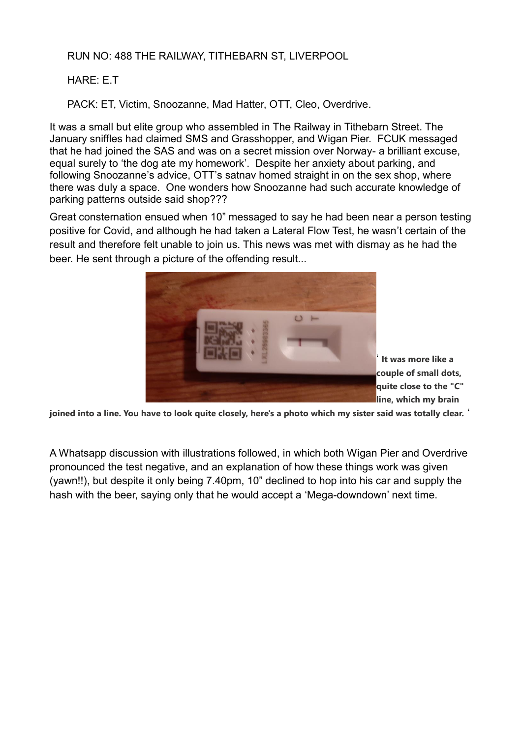## RUN NO: 488 THE RAILWAY, TITHEBARN ST, LIVERPOOL

## HARE: E.T

PACK: ET, Victim, Snoozanne, Mad Hatter, OTT, Cleo, Overdrive.

It was a small but elite group who assembled in The Railway in Tithebarn Street. The January sniffles had claimed SMS and Grasshopper, and Wigan Pier. FCUK messaged that he had joined the SAS and was on a secret mission over Norway- a brilliant excuse, equal surely to 'the dog ate my homework'. Despite her anxiety about parking, and following Snoozanne's advice, OTT's satnav homed straight in on the sex shop, where there was duly a space. One wonders how Snoozanne had such accurate knowledge of parking patterns outside said shop???

Great consternation ensued when 10" messaged to say he had been near a person testing positive for Covid, and although he had taken a Lateral Flow Test, he wasn't certain of the result and therefore felt unable to join us. This news was met with dismay as he had the beer. He sent through a picture of the offending result...



' **It was more like a couple of small dots, quite close to the "C" line, which my brain** 

**joined into a line. You have to look quite closely, here's a photo which my sister said was totally clear.** '

A Whatsapp discussion with illustrations followed, in which both Wigan Pier and Overdrive pronounced the test negative, and an explanation of how these things work was given (yawn!!), but despite it only being 7.40pm, 10" declined to hop into his car and supply the hash with the beer, saying only that he would accept a 'Mega-downdown' next time.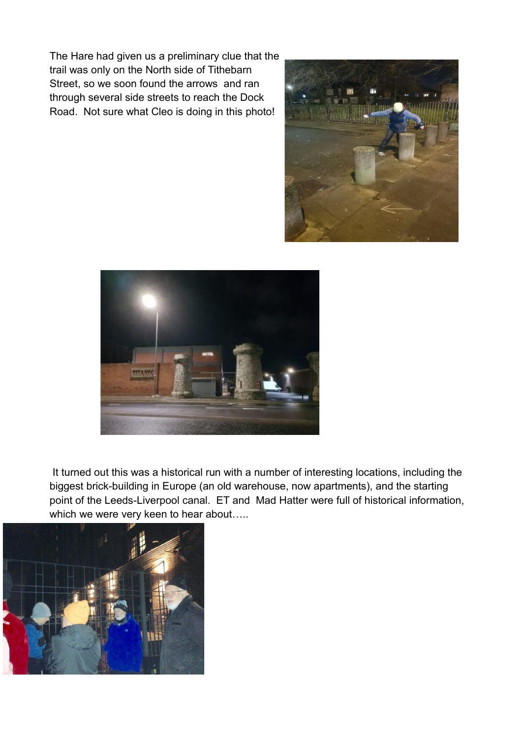The Hare had given us a preliminary clue that the trail was only on the North side of Tithebarn Street, so we soon found the arrows and ran through several side streets to reach the Dock Road. Not sure what Cleo is doing in this photo!





It turned out this was a historical run with a number of interesting locations, including the biggest brick-building in Europe (an old warehouse, now apartments), and the starting point of the Leeds-Liverpool canal. ET and Mad Hatter were full of historical information, which we were very keen to hear about.....

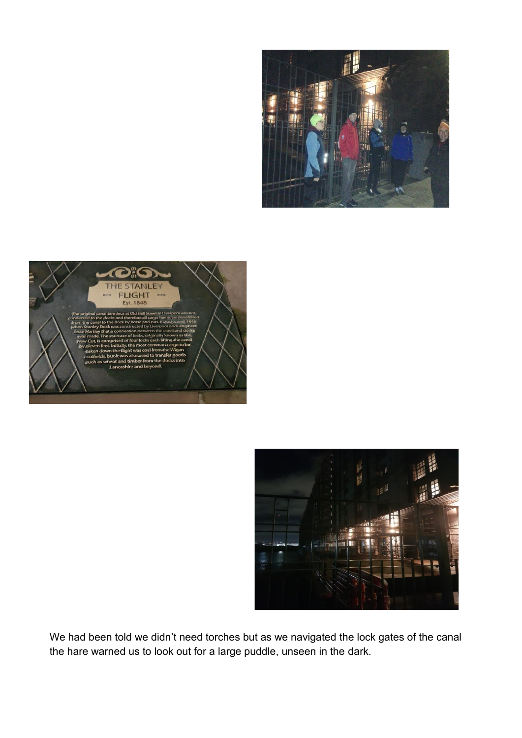





We had been told we didn't need torches but as we navigated the lock gates of the canal the hare warned us to look out for a large puddle, unseen in the dark.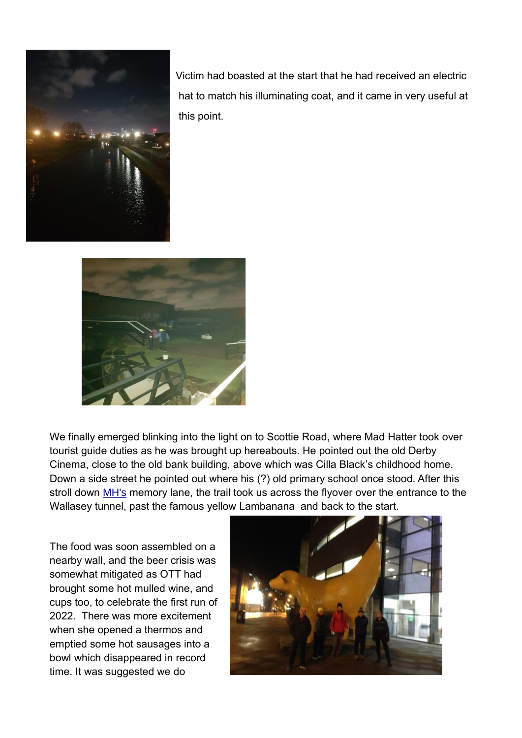

 Victim had boasted at the start that he had received an electric hat to match his illuminating coat, and it came in very useful at this point.



We finally emerged blinking into the light on to Scottie Road, where Mad Hatter took over tourist guide duties as he was brought up hereabouts. He pointed out the old Derby Cinema, close to the old bank building, above which was Cilla Black's childhood home. Down a side street he pointed out where his (?) old primary school once stood. After this stroll down [MH's](mailto:Mh@s) memory lane, the trail took us across the flyover over the entrance to the Wallasey tunnel, past the famous yellow Lambanana and back to the start.

The food was soon assembled on a nearby wall, and the beer crisis was somewhat mitigated as OTT had brought some hot mulled wine, and cups too, to celebrate the first run of 2022. There was more excitement when she opened a thermos and emptied some hot sausages into a bowl which disappeared in record time. It was suggested we do